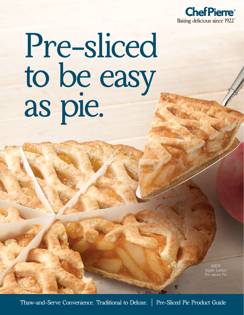

# Pre-sliced to be easy ro de la

00879 Apple Lattice Pre-sliced Pie

Thaw-and-Serve Convenience. Traditional to Deluxe. | Pre-Sliced Pie Product Guide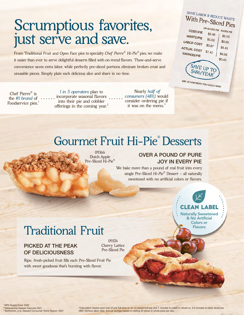## Scrumptious favorites, just serve and save.

From Traditional Fruit and Open Face pies to specialty *Chef Pierre® Hi-Pie®* pies, we make it easier than ever to serve delightful desserts filled with on-trend flavors. Thaw-and-serve convenience saves extra labor, while perfectly pre-sliced portions eliminate broken crust and unusable pieces. Simply plate each delicious slice and share in no time.

Chef Pierre® is the *#1 brand* of Foodservice pies.<sup>1</sup>

*1 in 5 operators* plan to incorporate seasonal flavors into their pie and cobbler offerings in the coming year.<sup>2</sup>

 Nearly *half of consumers (48%)* would consider ordering pie if it was on the menu. $3$ 

#### SAVE LABOR & REDUCE WASTE With Pre-Sliced Pies

UN-SLICED PIE SLICED PIE COST/PIE \$5.96  $$6.55$ **WASTE/PIE**  $$0.60$ LABOR COST  $$0.00$  $$0.87$ ACTUAL COST  $$0.43$  $$7.43$ SAVINGS/PIE \$6.98  $$0.45$ SAVE UP TO \$486/YEAR

ASK US HOW MUCH YOU COULD SAVE!

### Gourmet Fruit Hi-Pie® Desserts

09366 Dutch Apple Pre-Sliced Hi-Pie®

#### OVER A POUND OF PURE JOY IN EVERY PIE

We bake more than a pound of real fruit into every single Pre-Sliced *Hi-Pie®* Dessert – all naturally sweetened with no artificial colors or flavors.

## Clean Label

Naturally Sweetened & No Artificial Colors or Flavors

## Traditional Fruit

#### PICKED AT THE PEAK OF DELICIOUSNESS

09374 Cherry Lattice Pre-Sliced Pie

Ripe, fresh-picked fruit fills each Pre-Sliced Fruit Pie with sweet goodness that's bursting with flavor.

1 NPD SupplyTrack 2022 2 Datassential Dessert Keynote 2021 3 Technomic, U.S. Dessert Consumer Trend Report, 2021

\*Calculation based upon loss of one full slice on an un-sliced fruit pie and 7 minutes to plate un-sliced vs. 3.5 minutes to plate sliced pie<br>(@\$7.50/hour labor rate). Annual savings based on selling 30 slices (3 whole pie